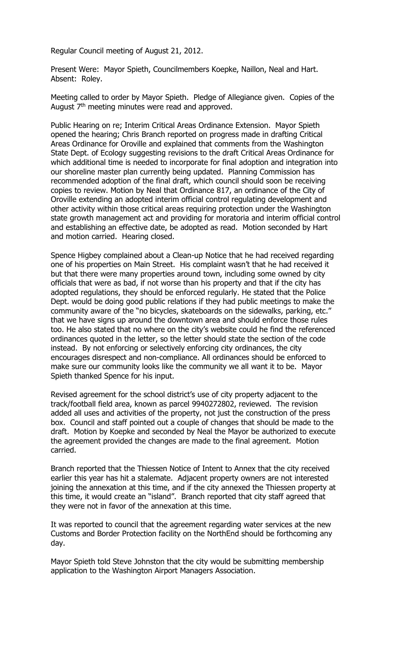Regular Council meeting of August 21, 2012.

Present Were: Mayor Spieth, Councilmembers Koepke, Naillon, Neal and Hart. Absent: Roley.

Meeting called to order by Mayor Spieth. Pledge of Allegiance given. Copies of the August  $7<sup>th</sup>$  meeting minutes were read and approved.

Public Hearing on re; Interim Critical Areas Ordinance Extension. Mayor Spieth opened the hearing; Chris Branch reported on progress made in drafting Critical Areas Ordinance for Oroville and explained that comments from the Washington State Dept. of Ecology suggesting revisions to the draft Critical Areas Ordinance for which additional time is needed to incorporate for final adoption and integration into our shoreline master plan currently being updated. Planning Commission has recommended adoption of the final draft, which council should soon be receiving copies to review. Motion by Neal that Ordinance 817, an ordinance of the City of Oroville extending an adopted interim official control regulating development and other activity within those critical areas requiring protection under the Washington state growth management act and providing for moratoria and interim official control and establishing an effective date, be adopted as read. Motion seconded by Hart and motion carried. Hearing closed.

Spence Higbey complained about a Clean-up Notice that he had received regarding one of his properties on Main Street. His complaint wasn't that he had received it but that there were many properties around town, including some owned by city officials that were as bad, if not worse than his property and that if the city has adopted regulations, they should be enforced regularly. He stated that the Police Dept. would be doing good public relations if they had public meetings to make the community aware of the "no bicycles, skateboards on the sidewalks, parking, etc." that we have signs up around the downtown area and should enforce those rules too. He also stated that no where on the city's website could he find the referenced ordinances quoted in the letter, so the letter should state the section of the code instead. By not enforcing or selectively enforcing city ordinances, the city encourages disrespect and non-compliance. All ordinances should be enforced to make sure our community looks like the community we all want it to be. Mayor Spieth thanked Spence for his input.

Revised agreement for the school district's use of city property adjacent to the track/football field area, known as parcel 9940272802, reviewed. The revision added all uses and activities of the property, not just the construction of the press box. Council and staff pointed out a couple of changes that should be made to the draft. Motion by Koepke and seconded by Neal the Mayor be authorized to execute the agreement provided the changes are made to the final agreement. Motion carried.

Branch reported that the Thiessen Notice of Intent to Annex that the city received earlier this year has hit a stalemate. Adjacent property owners are not interested joining the annexation at this time, and if the city annexed the Thiessen property at this time, it would create an "island". Branch reported that city staff agreed that they were not in favor of the annexation at this time.

It was reported to council that the agreement regarding water services at the new Customs and Border Protection facility on the NorthEnd should be forthcoming any day.

Mayor Spieth told Steve Johnston that the city would be submitting membership application to the Washington Airport Managers Association.